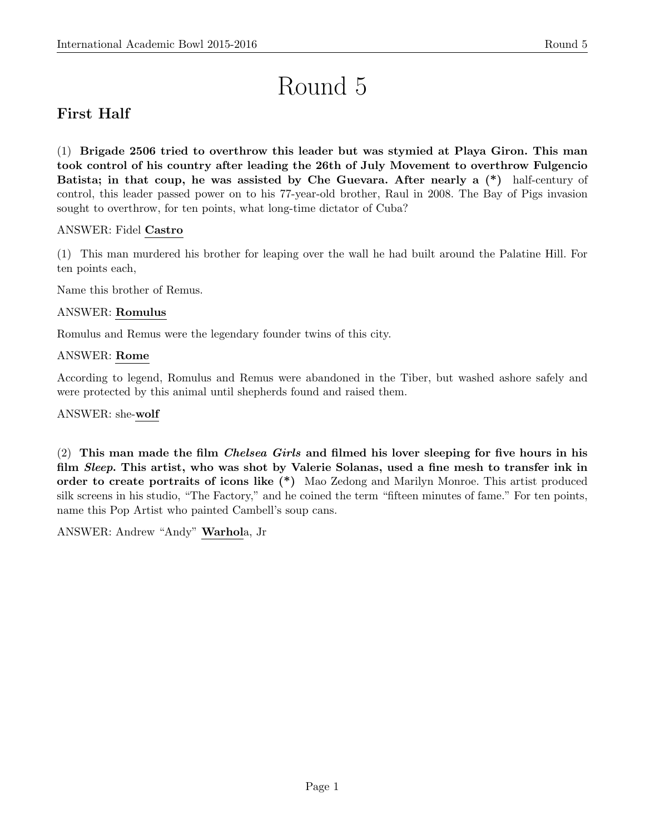# Round 5

# First Half

(1) Brigade 2506 tried to overthrow this leader but was stymied at Playa Giron. This man took control of his country after leading the 26th of July Movement to overthrow Fulgencio Batista; in that coup, he was assisted by Che Guevara. After nearly a (\*) half-century of control, this leader passed power on to his 77-year-old brother, Raul in 2008. The Bay of Pigs invasion sought to overthrow, for ten points, what long-time dictator of Cuba?

# ANSWER: Fidel Castro

(1) This man murdered his brother for leaping over the wall he had built around the Palatine Hill. For ten points each,

Name this brother of Remus.

# ANSWER: Romulus

Romulus and Remus were the legendary founder twins of this city.

# ANSWER: Rome

According to legend, Romulus and Remus were abandoned in the Tiber, but washed ashore safely and were protected by this animal until shepherds found and raised them.

ANSWER: she-wolf

(2) This man made the film *Chelsea Girls* and filmed his lover sleeping for five hours in his film *Sleep*. This artist, who was shot by Valerie Solanas, used a fine mesh to transfer ink in order to create portraits of icons like (\*) Mao Zedong and Marilyn Monroe. This artist produced silk screens in his studio, "The Factory," and he coined the term "fifteen minutes of fame." For ten points, name this Pop Artist who painted Cambell's soup cans.

ANSWER: Andrew "Andy" Warhola, Jr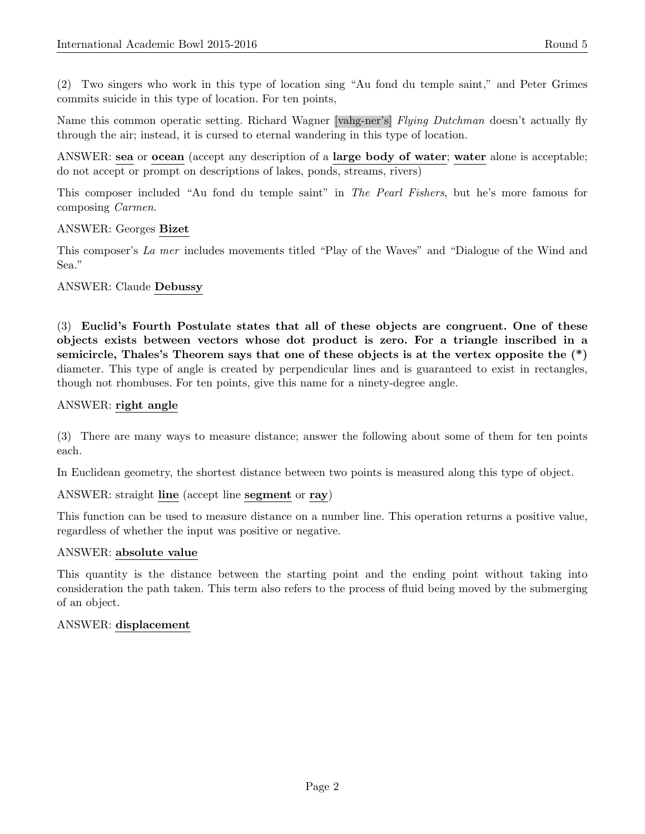(2) Two singers who work in this type of location sing "Au fond du temple saint," and Peter Grimes commits suicide in this type of location. For ten points,

Name this common operatic setting. Richard Wagner [vahg-ner's] Flying Dutchman doesn't actually fly through the air; instead, it is cursed to eternal wandering in this type of location.

ANSWER: sea or ocean (accept any description of a large body of water; water alone is acceptable; do not accept or prompt on descriptions of lakes, ponds, streams, rivers)

This composer included "Au fond du temple saint" in The Pearl Fishers, but he's more famous for composing Carmen.

### ANSWER: Georges Bizet

This composer's La mer includes movements titled "Play of the Waves" and "Dialogue of the Wind and Sea."

### ANSWER: Claude Debussy

(3) Euclid's Fourth Postulate states that all of these objects are congruent. One of these objects exists between vectors whose dot product is zero. For a triangle inscribed in a semicircle, Thales's Theorem says that one of these objects is at the vertex opposite the (\*) diameter. This type of angle is created by perpendicular lines and is guaranteed to exist in rectangles, though not rhombuses. For ten points, give this name for a ninety-degree angle.

### ANSWER: right angle

(3) There are many ways to measure distance; answer the following about some of them for ten points each.

In Euclidean geometry, the shortest distance between two points is measured along this type of object.

### ANSWER: straight line (accept line segment or ray)

This function can be used to measure distance on a number line. This operation returns a positive value, regardless of whether the input was positive or negative.

#### ANSWER: absolute value

This quantity is the distance between the starting point and the ending point without taking into consideration the path taken. This term also refers to the process of fluid being moved by the submerging of an object.

### ANSWER: displacement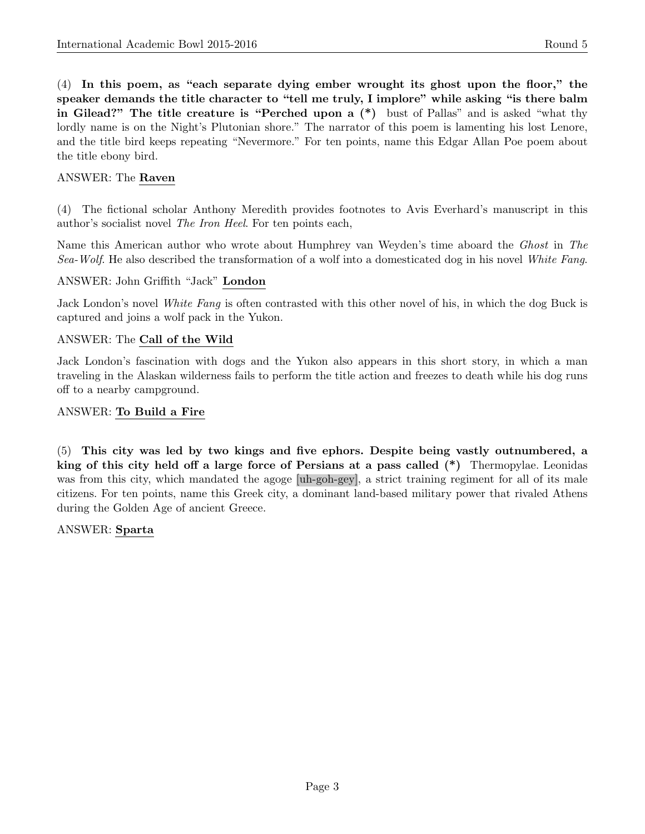(4) In this poem, as "each separate dying ember wrought its ghost upon the floor," the speaker demands the title character to "tell me truly, I implore" while asking "is there balm in Gilead?" The title creature is "Perched upon a (\*) bust of Pallas" and is asked "what thy lordly name is on the Night's Plutonian shore." The narrator of this poem is lamenting his lost Lenore, and the title bird keeps repeating "Nevermore." For ten points, name this Edgar Allan Poe poem about the title ebony bird.

## ANSWER: The Raven

(4) The fictional scholar Anthony Meredith provides footnotes to Avis Everhard's manuscript in this author's socialist novel The Iron Heel. For ten points each,

Name this American author who wrote about Humphrey van Weyden's time aboard the Ghost in The Sea-Wolf. He also described the transformation of a wolf into a domesticated dog in his novel White Fang.

#### ANSWER: John Griffith "Jack" London

Jack London's novel White Fang is often contrasted with this other novel of his, in which the dog Buck is captured and joins a wolf pack in the Yukon.

#### ANSWER: The Call of the Wild

Jack London's fascination with dogs and the Yukon also appears in this short story, in which a man traveling in the Alaskan wilderness fails to perform the title action and freezes to death while his dog runs off to a nearby campground.

#### ANSWER: To Build a Fire

(5) This city was led by two kings and five ephors. Despite being vastly outnumbered, a king of this city held off a large force of Persians at a pass called (\*) Thermopylae. Leonidas was from this city, which mandated the agoge [uh-goh-gey], a strict training regiment for all of its male citizens. For ten points, name this Greek city, a dominant land-based military power that rivaled Athens during the Golden Age of ancient Greece.

#### ANSWER: Sparta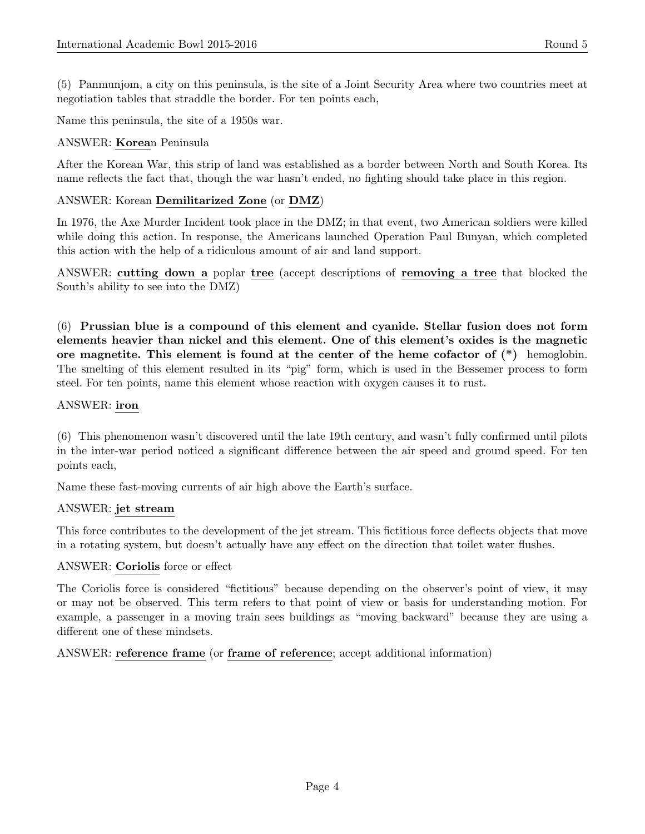(5) Panmunjom, a city on this peninsula, is the site of a Joint Security Area where two countries meet at negotiation tables that straddle the border. For ten points each,

Name this peninsula, the site of a 1950s war.

### ANSWER: Korean Peninsula

After the Korean War, this strip of land was established as a border between North and South Korea. Its name reflects the fact that, though the war hasn't ended, no fighting should take place in this region.

### ANSWER: Korean Demilitarized Zone (or DMZ)

In 1976, the Axe Murder Incident took place in the DMZ; in that event, two American soldiers were killed while doing this action. In response, the Americans launched Operation Paul Bunyan, which completed this action with the help of a ridiculous amount of air and land support.

ANSWER: cutting down a poplar tree (accept descriptions of removing a tree that blocked the South's ability to see into the DMZ)

(6) Prussian blue is a compound of this element and cyanide. Stellar fusion does not form elements heavier than nickel and this element. One of this element's oxides is the magnetic ore magnetite. This element is found at the center of the heme cofactor of  $(*)$  hemoglobin. The smelting of this element resulted in its "pig" form, which is used in the Bessemer process to form steel. For ten points, name this element whose reaction with oxygen causes it to rust.

### ANSWER: iron

(6) This phenomenon wasn't discovered until the late 19th century, and wasn't fully confirmed until pilots in the inter-war period noticed a significant difference between the air speed and ground speed. For ten points each,

Name these fast-moving currents of air high above the Earth's surface.

#### ANSWER: jet stream

This force contributes to the development of the jet stream. This fictitious force deflects objects that move in a rotating system, but doesn't actually have any effect on the direction that toilet water flushes.

#### ANSWER: Coriolis force or effect

The Coriolis force is considered "fictitious" because depending on the observer's point of view, it may or may not be observed. This term refers to that point of view or basis for understanding motion. For example, a passenger in a moving train sees buildings as "moving backward" because they are using a different one of these mindsets.

ANSWER: reference frame (or frame of reference; accept additional information)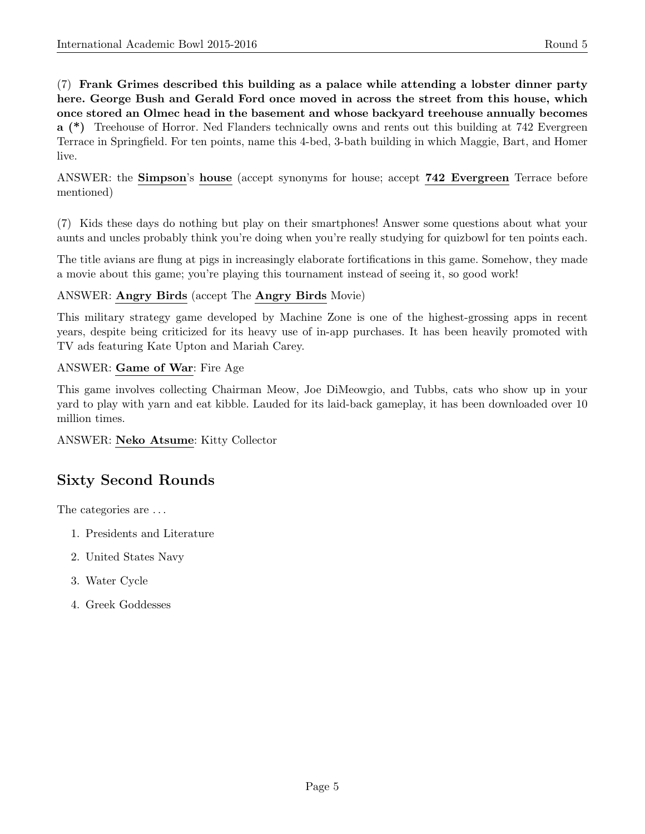(7) Frank Grimes described this building as a palace while attending a lobster dinner party here. George Bush and Gerald Ford once moved in across the street from this house, which once stored an Olmec head in the basement and whose backyard treehouse annually becomes a (\*) Treehouse of Horror. Ned Flanders technically owns and rents out this building at 742 Evergreen Terrace in Springfield. For ten points, name this 4-bed, 3-bath building in which Maggie, Bart, and Homer live.

ANSWER: the Simpson's house (accept synonyms for house; accept 742 Evergreen Terrace before mentioned)

(7) Kids these days do nothing but play on their smartphones! Answer some questions about what your aunts and uncles probably think you're doing when you're really studying for quizbowl for ten points each.

The title avians are flung at pigs in increasingly elaborate fortifications in this game. Somehow, they made a movie about this game; you're playing this tournament instead of seeing it, so good work!

# ANSWER: Angry Birds (accept The Angry Birds Movie)

This military strategy game developed by Machine Zone is one of the highest-grossing apps in recent years, despite being criticized for its heavy use of in-app purchases. It has been heavily promoted with TV ads featuring Kate Upton and Mariah Carey.

# ANSWER: Game of War: Fire Age

This game involves collecting Chairman Meow, Joe DiMeowgio, and Tubbs, cats who show up in your yard to play with yarn and eat kibble. Lauded for its laid-back gameplay, it has been downloaded over 10 million times.

ANSWER: Neko Atsume: Kitty Collector

# Sixty Second Rounds

The categories are ...

- 1. Presidents and Literature
- 2. United States Navy
- 3. Water Cycle
- 4. Greek Goddesses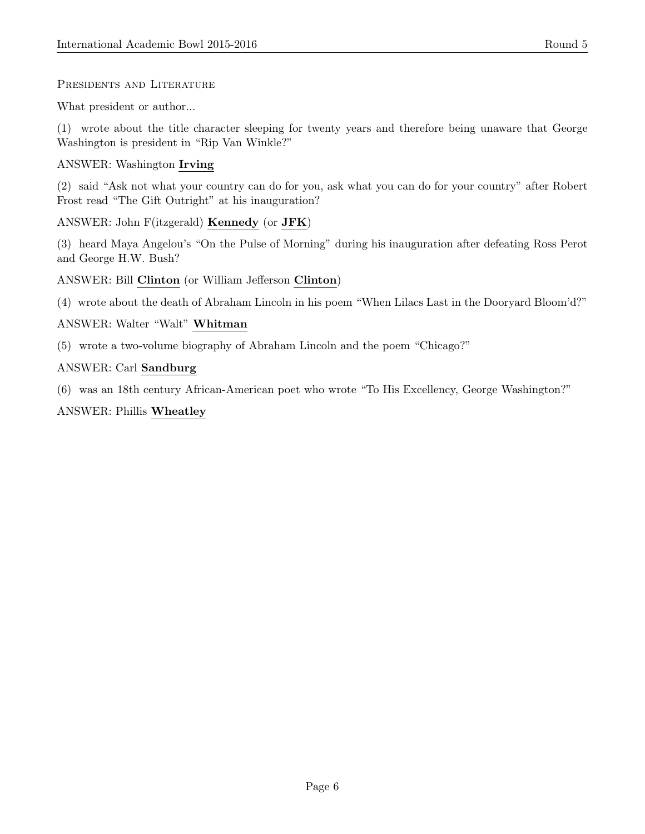PRESIDENTS AND LITERATURE

What president or author...

(1) wrote about the title character sleeping for twenty years and therefore being unaware that George Washington is president in "Rip Van Winkle?"

# ANSWER: Washington Irving

(2) said "Ask not what your country can do for you, ask what you can do for your country" after Robert Frost read "The Gift Outright" at his inauguration?

ANSWER: John F(itzgerald) Kennedy (or JFK)

(3) heard Maya Angelou's "On the Pulse of Morning" during his inauguration after defeating Ross Perot and George H.W. Bush?

ANSWER: Bill Clinton (or William Jefferson Clinton)

(4) wrote about the death of Abraham Lincoln in his poem "When Lilacs Last in the Dooryard Bloom'd?"

# ANSWER: Walter "Walt" Whitman

(5) wrote a two-volume biography of Abraham Lincoln and the poem "Chicago?"

# ANSWER: Carl Sandburg

(6) was an 18th century African-American poet who wrote "To His Excellency, George Washington?"

# ANSWER: Phillis Wheatley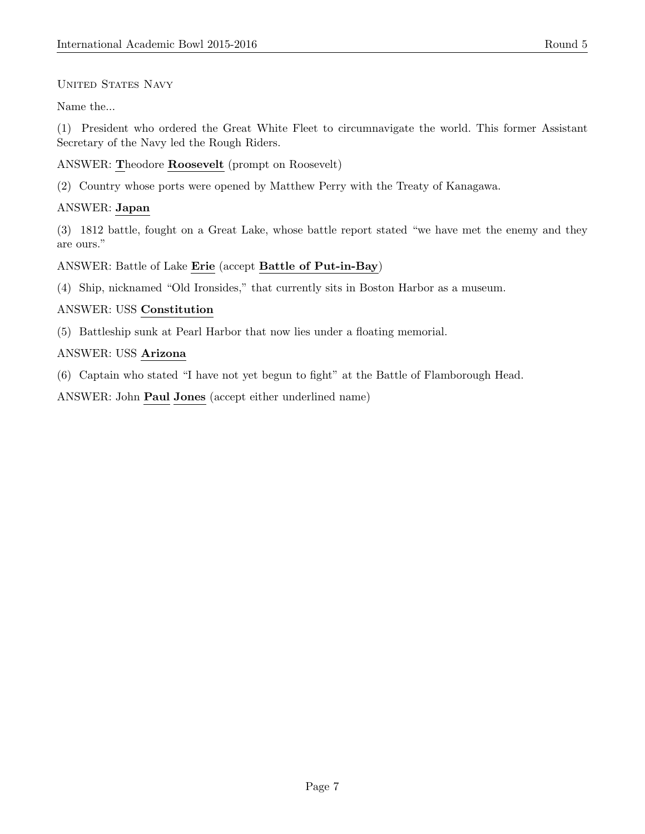## UNITED STATES NAVY

Name the...

(1) President who ordered the Great White Fleet to circumnavigate the world. This former Assistant Secretary of the Navy led the Rough Riders.

## ANSWER: Theodore Roosevelt (prompt on Roosevelt)

(2) Country whose ports were opened by Matthew Perry with the Treaty of Kanagawa.

# ANSWER: Japan

(3) 1812 battle, fought on a Great Lake, whose battle report stated "we have met the enemy and they are ours."

### ANSWER: Battle of Lake Erie (accept Battle of Put-in-Bay)

(4) Ship, nicknamed "Old Ironsides," that currently sits in Boston Harbor as a museum.

# ANSWER: USS Constitution

(5) Battleship sunk at Pearl Harbor that now lies under a floating memorial.

# ANSWER: USS Arizona

(6) Captain who stated "I have not yet begun to fight" at the Battle of Flamborough Head.

ANSWER: John Paul Jones (accept either underlined name)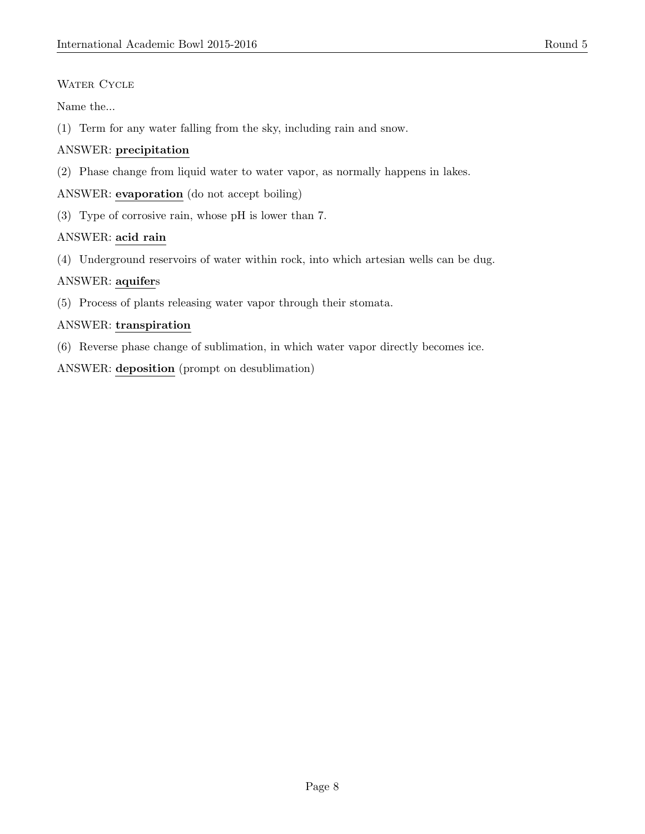# WATER CYCLE

Name the...

(1) Term for any water falling from the sky, including rain and snow.

# ANSWER: precipitation

(2) Phase change from liquid water to water vapor, as normally happens in lakes.

ANSWER: evaporation (do not accept boiling)

(3) Type of corrosive rain, whose pH is lower than 7.

# ANSWER: acid rain

(4) Underground reservoirs of water within rock, into which artesian wells can be dug.

# ANSWER: aquifers

(5) Process of plants releasing water vapor through their stomata.

# ANSWER: transpiration

(6) Reverse phase change of sublimation, in which water vapor directly becomes ice.

ANSWER: deposition (prompt on desublimation)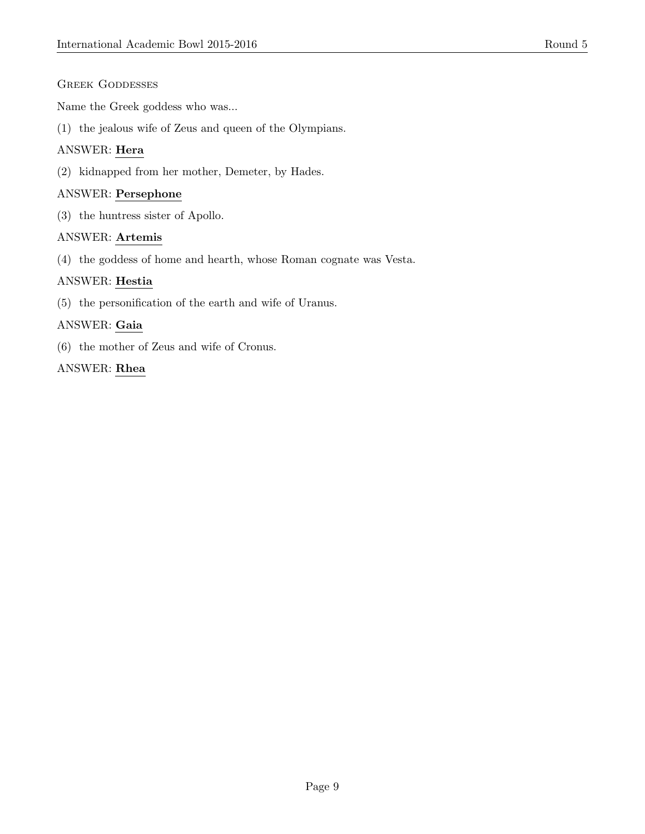## GREEK GODDESSES

Name the Greek goddess who was...

(1) the jealous wife of Zeus and queen of the Olympians.

# ANSWER: Hera

(2) kidnapped from her mother, Demeter, by Hades.

### ANSWER: Persephone

(3) the huntress sister of Apollo.

#### ANSWER: Artemis

(4) the goddess of home and hearth, whose Roman cognate was Vesta.

### ANSWER: Hestia

(5) the personification of the earth and wife of Uranus.

### ANSWER: Gaia

(6) the mother of Zeus and wife of Cronus.

### ANSWER: Rhea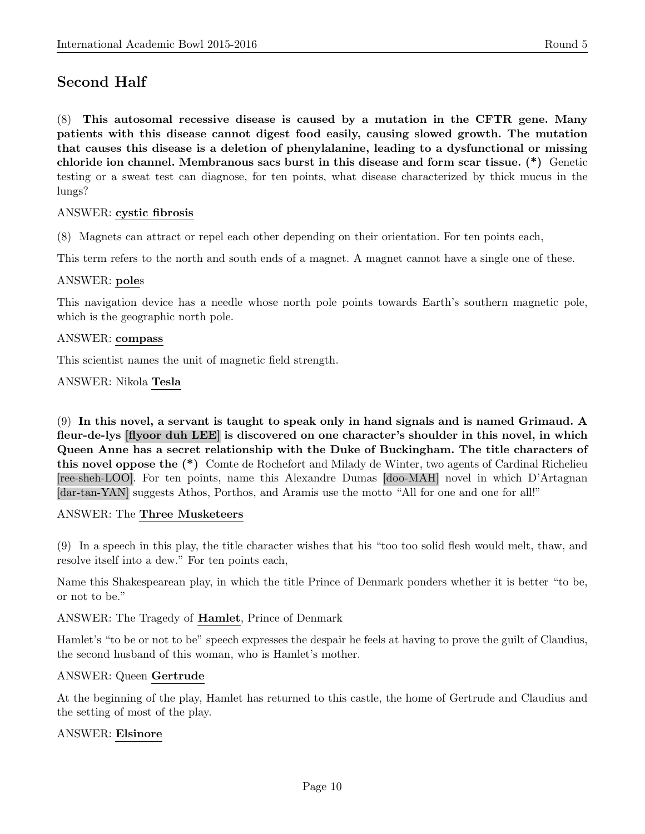# Second Half

(8) This autosomal recessive disease is caused by a mutation in the CFTR gene. Many patients with this disease cannot digest food easily, causing slowed growth. The mutation that causes this disease is a deletion of phenylalanine, leading to a dysfunctional or missing chloride ion channel. Membranous sacs burst in this disease and form scar tissue. (\*) Genetic testing or a sweat test can diagnose, for ten points, what disease characterized by thick mucus in the lungs?

#### ANSWER: cystic fibrosis

(8) Magnets can attract or repel each other depending on their orientation. For ten points each,

This term refers to the north and south ends of a magnet. A magnet cannot have a single one of these.

#### ANSWER: poles

This navigation device has a needle whose north pole points towards Earth's southern magnetic pole, which is the geographic north pole.

#### ANSWER: compass

This scientist names the unit of magnetic field strength.

#### ANSWER: Nikola Tesla

(9) In this novel, a servant is taught to speak only in hand signals and is named Grimaud. A fleur-de-lys [flyoor duh LEE] is discovered on one character's shoulder in this novel, in which Queen Anne has a secret relationship with the Duke of Buckingham. The title characters of this novel oppose the (\*) Comte de Rochefort and Milady de Winter, two agents of Cardinal Richelieu [ree-sheh-LOO]. For ten points, name this Alexandre Dumas [doo-MAH] novel in which D'Artagnan [dar-tan-YAN] suggests Athos, Porthos, and Aramis use the motto "All for one and one for all!"

#### ANSWER: The Three Musketeers

(9) In a speech in this play, the title character wishes that his "too too solid flesh would melt, thaw, and resolve itself into a dew." For ten points each,

Name this Shakespearean play, in which the title Prince of Denmark ponders whether it is better "to be, or not to be."

#### ANSWER: The Tragedy of Hamlet, Prince of Denmark

Hamlet's "to be or not to be" speech expresses the despair he feels at having to prove the guilt of Claudius, the second husband of this woman, who is Hamlet's mother.

#### ANSWER: Queen Gertrude

At the beginning of the play, Hamlet has returned to this castle, the home of Gertrude and Claudius and the setting of most of the play.

### ANSWER: Elsinore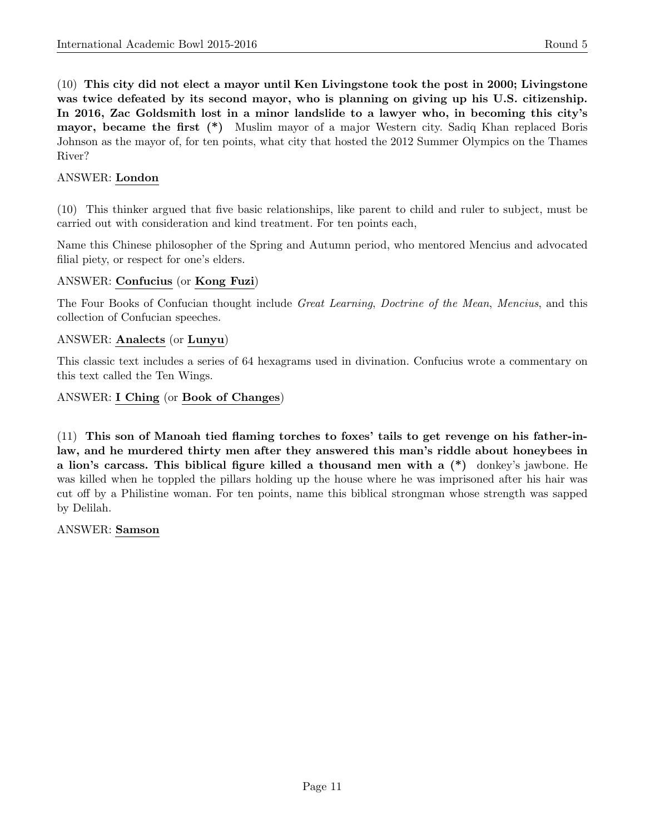(10) This city did not elect a mayor until Ken Livingstone took the post in 2000; Livingstone was twice defeated by its second mayor, who is planning on giving up his U.S. citizenship. In 2016, Zac Goldsmith lost in a minor landslide to a lawyer who, in becoming this city's mayor, became the first (\*) Muslim mayor of a major Western city. Sadiq Khan replaced Boris Johnson as the mayor of, for ten points, what city that hosted the 2012 Summer Olympics on the Thames River?

# ANSWER: London

(10) This thinker argued that five basic relationships, like parent to child and ruler to subject, must be carried out with consideration and kind treatment. For ten points each,

Name this Chinese philosopher of the Spring and Autumn period, who mentored Mencius and advocated filial piety, or respect for one's elders.

### ANSWER: Confucius (or Kong Fuzi)

The Four Books of Confucian thought include Great Learning, Doctrine of the Mean, Mencius, and this collection of Confucian speeches.

#### ANSWER: Analects (or Lunyu)

This classic text includes a series of 64 hexagrams used in divination. Confucius wrote a commentary on this text called the Ten Wings.

#### ANSWER: I Ching (or Book of Changes)

(11) This son of Manoah tied flaming torches to foxes' tails to get revenge on his father-inlaw, and he murdered thirty men after they answered this man's riddle about honeybees in a lion's carcass. This biblical figure killed a thousand men with a (\*) donkey's jawbone. He was killed when he toppled the pillars holding up the house where he was imprisoned after his hair was cut off by a Philistine woman. For ten points, name this biblical strongman whose strength was sapped by Delilah.

ANSWER: Samson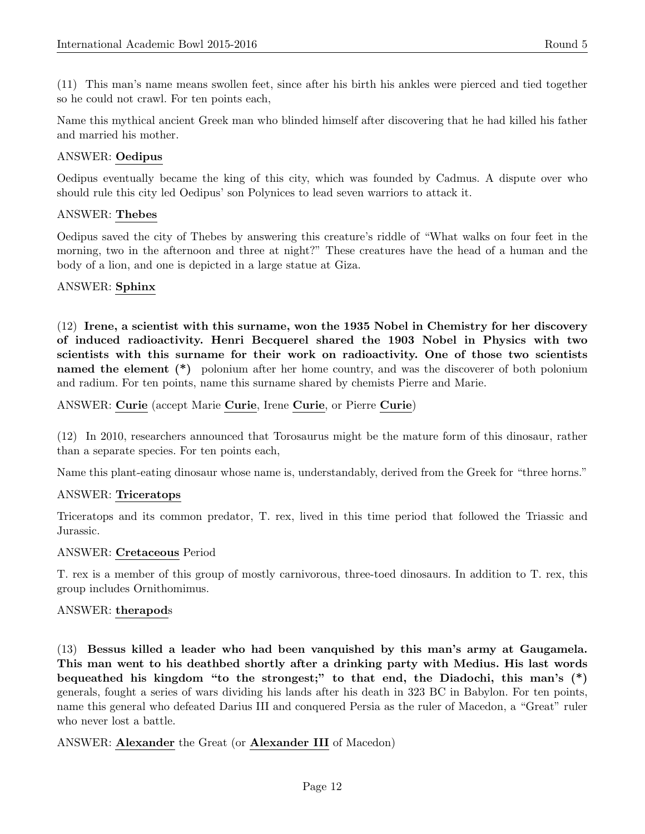(11) This man's name means swollen feet, since after his birth his ankles were pierced and tied together so he could not crawl. For ten points each,

Name this mythical ancient Greek man who blinded himself after discovering that he had killed his father and married his mother.

### ANSWER: Oedipus

Oedipus eventually became the king of this city, which was founded by Cadmus. A dispute over who should rule this city led Oedipus' son Polynices to lead seven warriors to attack it.

#### ANSWER: Thebes

Oedipus saved the city of Thebes by answering this creature's riddle of "What walks on four feet in the morning, two in the afternoon and three at night?" These creatures have the head of a human and the body of a lion, and one is depicted in a large statue at Giza.

### ANSWER: Sphinx

(12) Irene, a scientist with this surname, won the 1935 Nobel in Chemistry for her discovery of induced radioactivity. Henri Becquerel shared the 1903 Nobel in Physics with two scientists with this surname for their work on radioactivity. One of those two scientists named the element (\*) polonium after her home country, and was the discoverer of both polonium and radium. For ten points, name this surname shared by chemists Pierre and Marie.

### ANSWER: Curie (accept Marie Curie, Irene Curie, or Pierre Curie)

(12) In 2010, researchers announced that Torosaurus might be the mature form of this dinosaur, rather than a separate species. For ten points each,

Name this plant-eating dinosaur whose name is, understandably, derived from the Greek for "three horns."

#### ANSWER: Triceratops

Triceratops and its common predator, T. rex, lived in this time period that followed the Triassic and Jurassic.

#### ANSWER: Cretaceous Period

T. rex is a member of this group of mostly carnivorous, three-toed dinosaurs. In addition to T. rex, this group includes Ornithomimus.

#### ANSWER: therapods

(13) Bessus killed a leader who had been vanquished by this man's army at Gaugamela. This man went to his deathbed shortly after a drinking party with Medius. His last words bequeathed his kingdom "to the strongest;" to that end, the Diadochi, this man's (\*) generals, fought a series of wars dividing his lands after his death in 323 BC in Babylon. For ten points, name this general who defeated Darius III and conquered Persia as the ruler of Macedon, a "Great" ruler who never lost a battle.

#### ANSWER: Alexander the Great (or Alexander III of Macedon)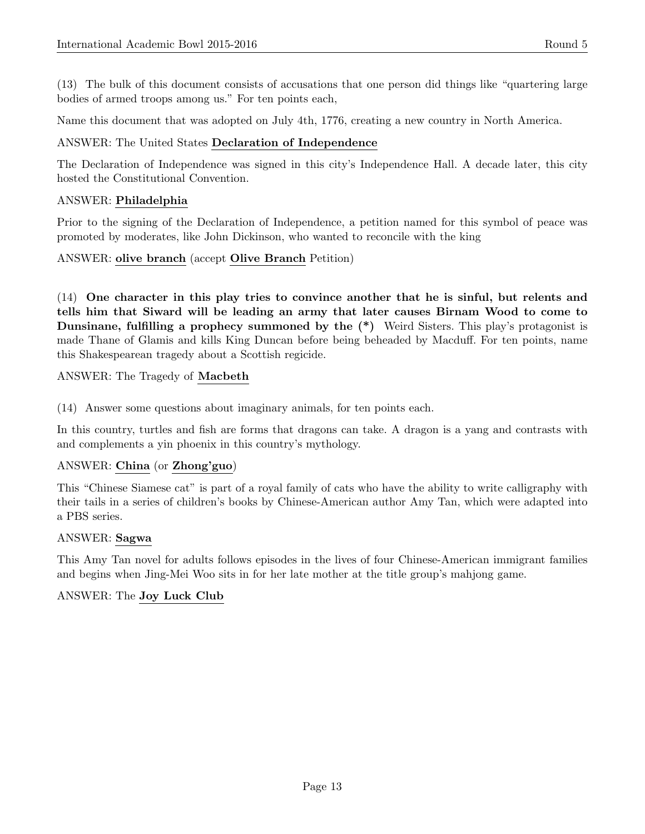(13) The bulk of this document consists of accusations that one person did things like "quartering large bodies of armed troops among us." For ten points each,

Name this document that was adopted on July 4th, 1776, creating a new country in North America.

### ANSWER: The United States Declaration of Independence

The Declaration of Independence was signed in this city's Independence Hall. A decade later, this city hosted the Constitutional Convention.

#### ANSWER: Philadelphia

Prior to the signing of the Declaration of Independence, a petition named for this symbol of peace was promoted by moderates, like John Dickinson, who wanted to reconcile with the king

### ANSWER: olive branch (accept Olive Branch Petition)

(14) One character in this play tries to convince another that he is sinful, but relents and tells him that Siward will be leading an army that later causes Birnam Wood to come to Dunsinane, fulfilling a prophecy summoned by the (\*) Weird Sisters. This play's protagonist is made Thane of Glamis and kills King Duncan before being beheaded by Macduff. For ten points, name this Shakespearean tragedy about a Scottish regicide.

ANSWER: The Tragedy of Macbeth

(14) Answer some questions about imaginary animals, for ten points each.

In this country, turtles and fish are forms that dragons can take. A dragon is a yang and contrasts with and complements a yin phoenix in this country's mythology.

### ANSWER: China (or Zhong'guo)

This "Chinese Siamese cat" is part of a royal family of cats who have the ability to write calligraphy with their tails in a series of children's books by Chinese-American author Amy Tan, which were adapted into a PBS series.

#### ANSWER: Sagwa

This Amy Tan novel for adults follows episodes in the lives of four Chinese-American immigrant families and begins when Jing-Mei Woo sits in for her late mother at the title group's mahjong game.

### ANSWER: The Joy Luck Club